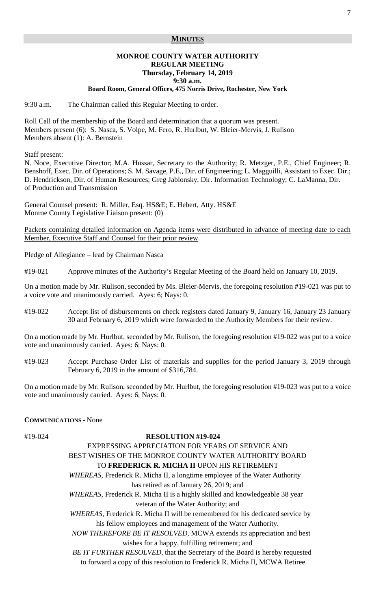## **MINUTES**

#### **MONROE COUNTY WATER AUTHORITY REGULAR MEETING Thursday, February 14, 2019 9:30 a.m.**

#### **Board Room, General Offices, 475 Norris Drive, Rochester, New York**

9:30 a.m. The Chairman called this Regular Meeting to order.

Roll Call of the membership of the Board and determination that a quorum was present. Members present (6): S. Nasca, S. Volpe, M. Fero, R. Hurlbut, W. Bleier-Mervis, J. Rulison Members absent (1): A. Bernstein

Staff present:

N. Noce, Executive Director; M.A. Hussar, Secretary to the Authority; R. Metzger, P.E., Chief Engineer; R. Benshoff, Exec. Dir. of Operations; S. M. Savage, P.E., Dir. of Engineering; L. Magguilli, Assistant to Exec. Dir.; D. Hendrickson, Dir. of Human Resources; Greg Jablonsky, Dir. Information Technology; C. LaManna, Dir. of Production and Transmission

General Counsel present: R. Miller, Esq. HS&E; E. Hebert, Atty. HS&E Monroe County Legislative Liaison present: (0)

Packets containing detailed information on Agenda items were distributed in advance of meeting date to each Member, Executive Staff and Counsel for their prior review.

Pledge of Allegiance – lead by Chairman Nasca

#19-021 Approve minutes of the Authority's Regular Meeting of the Board held on January 10, 2019.

On a motion made by Mr. Rulison, seconded by Ms. Bleier-Mervis, the foregoing resolution #19-021 was put to a voice vote and unanimously carried. Ayes: 6; Nays: 0.

#19-022 Accept list of disbursements on check registers dated January 9, January 16, January 23 January 30 and February 6, 2019 which were forwarded to the Authority Members for their review.

On a motion made by Mr. Hurlbut, seconded by Mr. Rulison, the foregoing resolution #19-022 was put to a voice vote and unanimously carried. Ayes: 6; Nays: 0.

#19-023 Accept Purchase Order List of materials and supplies for the period January 3, 2019 through February 6, 2019 in the amount of \$316,784.

On a motion made by Mr. Rulison, seconded by Mr. Hurlbut, the foregoing resolution #19-023 was put to a voice vote and unanimously carried. Ayes: 6; Nays: 0.

#### **COMMUNICATIONS -** None

#### #19-024 **RESOLUTION #19-024**

# EXPRESSING APPRECIATION FOR YEARS OF SERVICE AND BEST WISHES OF THE MONROE COUNTY WATER AUTHORITY BOARD TO **FREDERICK R. MICHA II** UPON HIS RETIREMENT  *WHEREAS*, Frederick R. Micha II, a longtime employee of the Water Authority

has retired as of January 26, 2019; and

 *WHEREAS*, Frederick R. Micha II is a highly skilled and knowledgeable 38 year veteran of the Water Authority; and

 *WHEREAS*, Frederick R. Micha II will be remembered for his dedicated service by his fellow employees and management of the Water Authority.

 *NOW THEREFORE BE IT RESOLVED,* MCWA extends its appreciation and best wishes for a happy, fulfilling retirement; and

 *BE IT FURTHER RESOLVED*, that the Secretary of the Board is hereby requested to forward a copy of this resolution to Frederick R. Micha II, MCWA Retiree.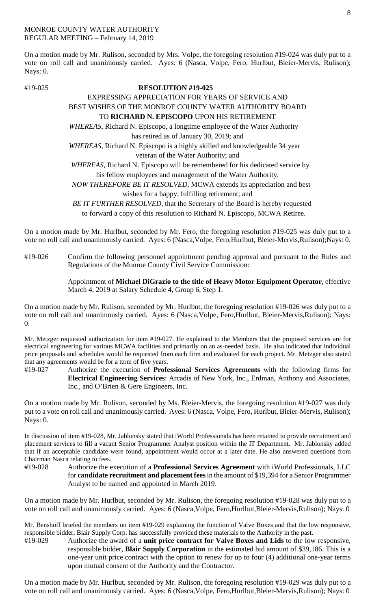#### MONROE COUNTY WATER AUTHORITY REGULAR MEETING – February 14, 2019

On a motion made by Mr. Rulison, seconded by Mrs. Volpe, the foregoing resolution #19-024 was duly put to a vote on roll call and unanimously carried. Ayes: 6 (Nasca, Volpe, Fero, Hurlbut, Bleier-Mervis, Rulison); Nays: 0.

## #19-025 **RESOLUTION #19-025**

## EXPRESSING APPRECIATION FOR YEARS OF SERVICE AND BEST WISHES OF THE MONROE COUNTY WATER AUTHORITY BOARD

# TO **RICHARD N. EPISCOPO** UPON HIS RETIREMENT

 *WHEREAS*, Richard N. Episcopo, a longtime employee of the Water Authority has retired as of January 30, 2019; and

 *WHEREAS*, Richard N. Episcopo is a highly skilled and knowledgeable 34 year veteran of the Water Authority; and

 *WHEREAS*, Richard N. Episcopo will be remembered for his dedicated service by his fellow employees and management of the Water Authority.

 *NOW THEREFORE BE IT RESOLVED,* MCWA extends its appreciation and best wishes for a happy, fulfilling retirement; and

 *BE IT FURTHER RESOLVED*, that the Secretary of the Board is hereby requested to forward a copy of this resolution to Richard N. Episcopo, MCWA Retiree.

On a motion made by Mr. Hurlbut, seconded by Mr. Fero, the foregoing resolution #19-025 was duly put to a vote on roll call and unanimously carried. Ayes: 6 (Nasca,Volpe, Fero,Hurlbut, Bleier-Mervis,Rulison);Nays: 0.

#19-026 Confirm the following personnel appointment pending approval and pursuant to the Rules and Regulations of the Monroe County Civil Service Commission:

> Appointment of **Michael DiGrazio to the title of Heavy Motor Equipment Operator**, effective March 4, 2019 at Salary Schedule 4, Group 6, Step 1.

On a motion made by Mr. Rulison, seconded by Mr. Hurlbut, the foregoing resolution #19-026 was duly put to a vote on roll call and unanimously carried. Ayes: 6 (Nasca,Volpe, Fero,Hurlbut, Bleier-Mervis,Rulison); Nays:  $\Omega$ .

Mr. Metzger requested authorization for item #19-027. He explained to the Members that the proposed services are for electrical engineering for various MCWA facilities and primarily on an as-needed basis. He also indicated that individual price proposals and schedules would be requested from each firm and evaluated for each project. Mr. Metzger also stated that any agreements would be for a term of five years.

#19-027 Authorize the execution of **Professional Services Agreements** with the following firms for **Electrical Engineering Services**: Arcadis of New York, Inc., Erdman, Anthony and Associates, Inc., and O'Brien & Gere Engineers, Inc.

On a motion made by Mr. Rulison, seconded by Ms. Bleier-Mervis, the foregoing resolution #19-027 was duly put to a vote on roll call and unanimously carried. Ayes: 6 (Nasca, Volpe, Fero, Hurlbut, Bleier-Mervis, Rulison); Nays: 0.

In discussion of item #19-028, Mr. Jablonsky stated that iWorld Professionals has been retained to provide recruitment and placement services to fill a vacant Senior Programmer Analyst position within the IT Department. Mr. Jablonsky added that if an acceptable candidate were found, appointment would occur at a later date. He also answered questions from Chairman Nasca relating to fees.

#19-028 Authorize the execution of a **Professional Services Agreement** with iWorld Professionals, LLC for **candidate recruitment and placement fees**in the amount of \$19,394 for a Senior Programmer Analyst to be named and appointed in March 2019.

On a motion made by Mr. Hurlbut, seconded by Mr. Rulison, the foregoing resolution #19-028 was duly put to a vote on roll call and unanimously carried. Ayes: 6 (Nasca,Volpe, Fero,Hurlbut,Bleier-Mervis,Rulison); Nays: 0

Mr. Benshoff briefed the members on item #19-029 explaining the function of Valve Boxes and that the low responsive, responsible bidder, Blair Supply Corp. has successfully provided these materials to the Authority in the past.

#19-029 Authorize the award of a **unit price contract for Valve Boxes and Lids** to the low responsive, responsible bidder, **Blair Supply Corporation** in the estimated bid amount of \$39,186. This is a one-year unit price contract with the option to renew for up to four (4) additional one-year terms upon mutual consent of the Authority and the Contractor.

On a motion made by Mr. Hurlbut, seconded by Mr. Rulison, the foregoing resolution #19-029 was duly put to a vote on roll call and unanimously carried. Ayes: 6 (Nasca,Volpe, Fero,Hurlbut,Bleier-Mervis,Rulison); Nays: 0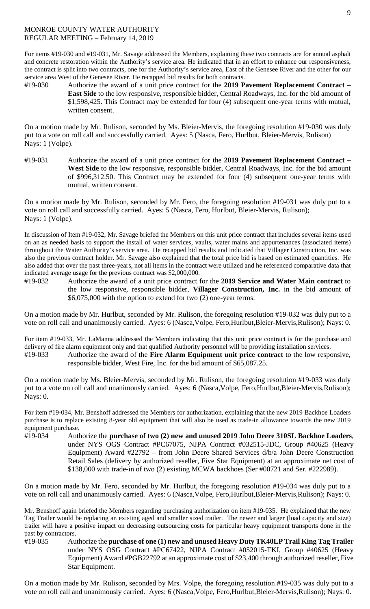### MONROE COUNTY WATER AUTHORITY REGULAR MEETING – February 14, 2019

For items #19-030 and #19-031, Mr. Savage addressed the Members, explaining these two contracts are for annual asphalt and concrete restoration within the Authority's service area. He indicated that in an effort to enhance our responsiveness, the contract is split into two contracts, one for the Authority's service area, East of the Genesee River and the other for our service area West of the Genesee River. He recapped bid results for both contracts.

#19-030 Authorize the award of a unit price contract for the **2019 Pavement Replacement Contract – East Side** to the low responsive, responsible bidder, Central Roadways, Inc. for the bid amount of \$1,598,425. This Contract may be extended for four (4) subsequent one-year terms with mutual, written consent.

On a motion made by Mr. Rulison, seconded by Ms. Bleier-Mervis, the foregoing resolution #19-030 was duly put to a vote on roll call and successfully carried. Ayes: 5 (Nasca, Fero, Hurlbut, Bleier-Mervis, Rulison) Nays: 1 (Volpe).

#19-031 Authorize the award of a unit price contract for the **2019 Pavement Replacement Contract – West Side** to the low responsive, responsible bidder, Central Roadways, Inc. for the bid amount of \$996,312.50. This Contract may be extended for four (4) subsequent one-year terms with mutual, written consent.

On a motion made by Mr. Rulison, seconded by Mr. Fero, the foregoing resolution #19-031 was duly put to a vote on roll call and successfully carried. Ayes: 5 (Nasca, Fero, Hurlbut, Bleier-Mervis, Rulison); Nays: 1 (Volpe).

In discussion of Item #19-032, Mr. Savage briefed the Members on this unit price contract that includes several items used on an as needed basis to support the install of water services, vaults, water mains and appurtenances (associated items) throughout the Water Authority's service area. He recapped bid results and indicated that Villager Construction, Inc. was also the previous contract holder. Mr. Savage also explained that the total price bid is based on estimated quantities. He also added that over the past three-years, not all items in the contract were utilized and he referenced comparative data that indicated average usage for the previous contract was \$2,000,000.

#19-032 Authorize the award of a unit price contract for the **2019 Service and Water Main contract** to the low responsive, responsible bidder, **Villager Construction, Inc.** in the bid amount of \$6,075,000 with the option to extend for two (2) one-year terms.

On a motion made by Mr. Hurlbut, seconded by Mr. Rulison, the foregoing resolution #19-032 was duly put to a vote on roll call and unanimously carried. Ayes: 6 (Nasca,Volpe, Fero,Hurlbut,Bleier-Mervis,Rulison); Nays: 0.

For item #19-033, Mr. LaManna addressed the Members indicating that this unit price contract is for the purchase and delivery of fire alarm equipment only and that qualified Authority personnel will be providing installation services. #19-033 Authorize the award of the **Fire Alarm Equipment unit price contract** to the low responsive,

responsible bidder, West Fire, Inc. for the bid amount of \$65,087.25.

On a motion made by Ms. Bleier-Mervis, seconded by Mr. Rulison, the foregoing resolution #19-033 was duly put to a vote on roll call and unanimously carried. Ayes: 6 (Nasca,Volpe, Fero,Hurlbut,Bleier-Mervis,Rulison); Nays: 0.

For item #19-034, Mr. Benshoff addressed the Members for authorization, explaining that the new 2019 Backhoe Loaders purchase is to replace existing 8-year old equipment that will also be used as trade-in allowance towards the new 2019 equipment purchase.

#19-034 Authorize the **purchase of two (2) new and unused 2019 John Deere 310SL Backhoe Loaders**, under NYS OGS Contract #PC67075, NJPA Contract #032515-JDC, Group #40625 (Heavy Equipment) Award #22792 – from John Deere Shared Services d/b/a John Deere Construction Retail Sales (delivery by authorized reseller, Five Star Equipment) at an approximate net cost of \$138,000 with trade-in of two (2) existing MCWA backhoes (Ser #00721 and Ser. #222989).

On a motion made by Mr. Fero, seconded by Mr. Hurlbut, the foregoing resolution #19-034 was duly put to a vote on roll call and unanimously carried. Ayes: 6 (Nasca,Volpe, Fero,Hurlbut,Bleier-Mervis,Rulison); Nays: 0.

Mr. Benshoff again briefed the Members regarding purchasing authorization on item #19-035. He explained that the new Tag Trailer would be replacing an existing aged and smaller sized trailer. The newer and larger (load capacity and size) trailer will have a positive impact on decreasing outsourcing costs for particular heavy equipment transports done in the past by contractors.

#19-035 Authorize the **purchase of one (1) new and unused Heavy Duty TK40LP Trail King Tag Trailer** under NYS OSG Contract #PC67422, NJPA Contract #052015-TKI, Group #40625 (Heavy Equipment) Award #PGB22792 at an approximate cost of \$23,400 through authorized reseller, Five Star Equipment.

9

On a motion made by Mr. Rulison, seconded by Mrs. Volpe, the foregoing resolution #19-035 was duly put to a vote on roll call and unanimously carried. Ayes: 6 (Nasca,Volpe, Fero,Hurlbut,Bleier-Mervis,Rulison); Nays: 0.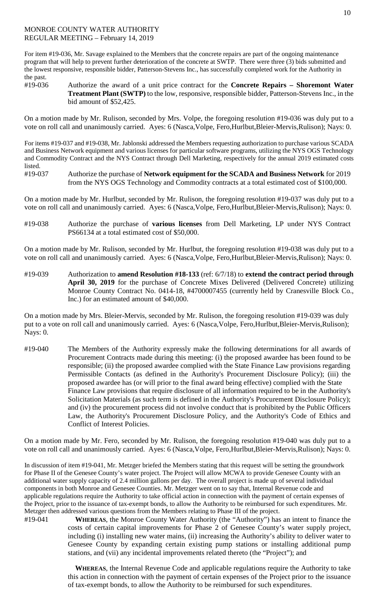## MONROE COUNTY WATER AUTHORITY REGULAR MEETING – February 14, 2019

For item #19-036, Mr. Savage explained to the Members that the concrete repairs are part of the ongoing maintenance program that will help to prevent further deterioration of the concrete at SWTP. There were three (3) bids submitted and the lowest responsive, responsible bidder, Patterson-Stevens Inc., has successfully completed work for the Authority in the past.

#19-036 Authorize the award of a unit price contract for the **Concrete Repairs – Shoremont Water Treatment Plant (SWTP)** to the low, responsive, responsible bidder, Patterson-Stevens Inc., in the bid amount of \$52,425.

On a motion made by Mr. Rulison, seconded by Mrs. Volpe, the foregoing resolution #19-036 was duly put to a vote on roll call and unanimously carried. Ayes: 6 (Nasca,Volpe, Fero,Hurlbut,Bleier-Mervis,Rulison); Nays: 0.

For items #19-037 and #19-038, Mr. Jablonski addressed the Members requesting authorization to purchase various SCADA and Business Network equipment and various licenses for particular software programs, utilizing the NYS OGS Technology and Commodity Contract and the NYS Contract through Dell Marketing, respectively for the annual 2019 estimated costs listed.

#19-037 Authorize the purchase of **Network equipment for the SCADA and Business Network** for 2019 from the NYS OGS Technology and Commodity contracts at a total estimated cost of \$100,000.

On a motion made by Mr. Hurlbut, seconded by Mr. Rulison, the foregoing resolution #19-037 was duly put to a vote on roll call and unanimously carried. Ayes: 6 (Nasca,Volpe, Fero,Hurlbut,Bleier-Mervis,Rulison); Nays: 0.

#19-038 Authorize the purchase of **various licenses** from Dell Marketing, LP under NYS Contract PS66134 at a total estimated cost of \$50,000.

On a motion made by Mr. Rulison, seconded by Mr. Hurlbut, the foregoing resolution #19-038 was duly put to a vote on roll call and unanimously carried. Ayes: 6 (Nasca,Volpe, Fero,Hurlbut,Bleier-Mervis,Rulison); Nays: 0.

#19-039 Authorization to **amend Resolution #18-133** (ref: 6/7/18) to **extend the contract period through April 30, 2019** for the purchase of Concrete Mixes Delivered (Delivered Concrete) utilizing Monroe County Contract No. 0414-18, #4700007455 (currently held by Cranesville Block Co., Inc.) for an estimated amount of \$40,000.

On a motion made by Mrs. Bleier-Mervis, seconded by Mr. Rulison, the foregoing resolution #19-039 was duly put to a vote on roll call and unanimously carried. Ayes: 6 (Nasca, Volpe, Fero, Hurlbut, Bleier-Mervis, Rulison); Nays: 0.

#19-040 The Members of the Authority expressly make the following determinations for all awards of Procurement Contracts made during this meeting: (i) the proposed awardee has been found to be responsible; (ii) the proposed awardee complied with the State Finance Law provisions regarding Permissible Contacts (as defined in the Authority's Procurement Disclosure Policy); (iii) the proposed awardee has (or will prior to the final award being effective) complied with the State Finance Law provisions that require disclosure of all information required to be in the Authority's Solicitation Materials (as such term is defined in the Authority's Procurement Disclosure Policy); and (iv) the procurement process did not involve conduct that is prohibited by the Public Officers Law, the Authority's Procurement Disclosure Policy, and the Authority's Code of Ethics and Conflict of Interest Policies.

On a motion made by Mr. Fero, seconded by Mr. Rulison, the foregoing resolution #19-040 was duly put to a vote on roll call and unanimously carried. Ayes: 6 (Nasca,Volpe, Fero,Hurlbut,Bleier-Mervis,Rulison); Nays: 0.

In discussion of item #19-041, Mr. Metzger briefed the Members stating that this request will be setting the groundwork for Phase II of the Genesee County's water project. The Project will allow MCWA to provide Genesee County with an additional water supply capacity of 2.4 million gallons per day. The overall project is made up of several individual components in both Monroe and Genesee Counties. Mr. Metzger went on to say that, Internal Revenue code and applicable regulations require the Authority to take official action in connection with the payment of certain expenses of the Project, prior to the issuance of tax-exempt bonds, to allow the Authority to be reimbursed for such expenditures. Mr. Metzger then addressed various questions from the Members relating to Phase III of the project.

#19-041 **WHEREAS**, the Monroe County Water Authority (the "Authority") has an intent to finance the costs of certain capital improvements for Phase 2 of Genesee County's water supply project, including (i) installing new water mains, (ii) increasing the Authority's ability to deliver water to Genesee County by expanding certain existing pump stations or installing additional pump stations, and (vii) any incidental improvements related thereto (the "Project"); and

> **WHEREAS**, the Internal Revenue Code and applicable regulations require the Authority to take this action in connection with the payment of certain expenses of the Project prior to the issuance of tax-exempt bonds, to allow the Authority to be reimbursed for such expenditures.